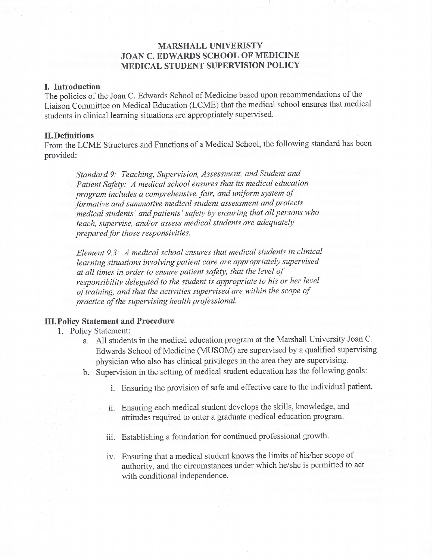# **MARSHALL UNIVERISTY JOAN C. EDWARDS SCHOOL OF MEDICINE MEDICAL STUDENT SUPERVISION POLICY**

### I. Introduction

The policies of the Joan C. Edwards School of Medicine based upon recommendations of the Liaison Committee on Medical Education (LCME) that the medical school ensures that medical students in clinical learning situations are appropriately supervised.

### **II.** Definitions

From the LCME Structures and Functions of a Medical School, the following standard has been provided:

Standard 9: Teaching, Supervision, Assessment, and Student and Patient Safety: A medical school ensures that its medical education program includes a comprehensive, fair, and uniform system of formative and summative medical student assessment and protects medical students' and patients' safety by ensuring that all persons who teach, supervise, and/or assess medical students are adequately prepared for those responsivities.

Element 9.3: A medical school ensures that medical students in clinical learning situations involving patient care are appropriately supervised at all times in order to ensure patient safety, that the level of responsibility delegated to the student is appropriate to his or her level of training, and that the activities supervised are within the scope of practice of the supervising health professional.

# **III. Policy Statement and Procedure**

# 1. Policy Statement:

- a. All students in the medical education program at the Marshall University Joan C. Edwards School of Medicine (MUSOM) are supervised by a qualified supervising physician who also has clinical privileges in the area they are supervising.
- b. Supervision in the setting of medical student education has the following goals:
	- i. Ensuring the provision of safe and effective care to the individual patient.
	- ii. Ensuring each medical student develops the skills, knowledge, and attitudes required to enter a graduate medical education program.
	- iii. Establishing a foundation for continued professional growth.
	- iv. Ensuring that a medical student knows the limits of his/her scope of authority, and the circumstances under which he/she is permitted to act with conditional independence.